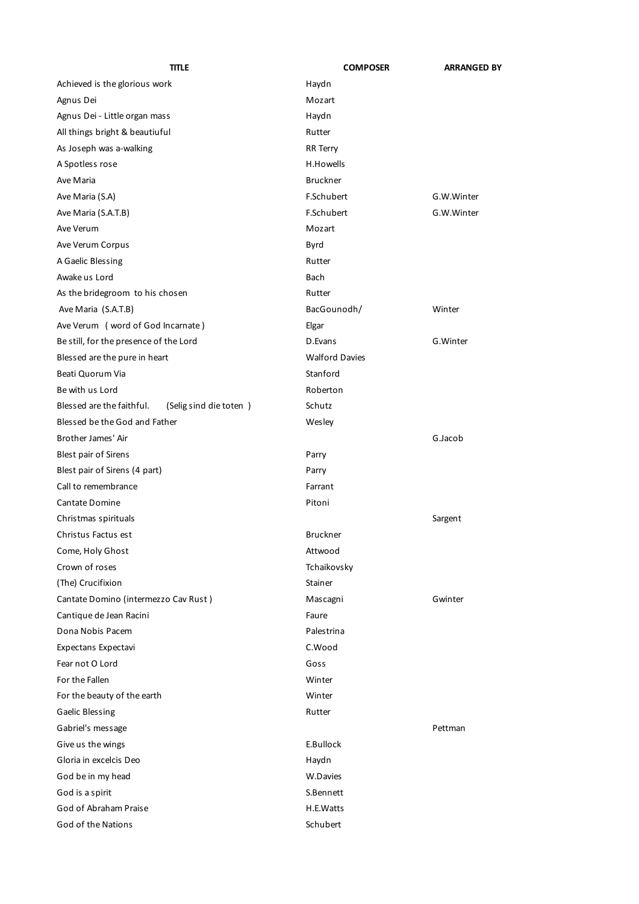| title                                               | <b>COMPOSER</b>       | <b>ARRANGED BY</b> |
|-----------------------------------------------------|-----------------------|--------------------|
| Achieved is the glorious work                       | Haydn                 |                    |
| Agnus Dei                                           | Mozart                |                    |
| Agnus Dei - Little organ mass                       | Haydn                 |                    |
| All things bright & beautiuful                      | Rutter                |                    |
| As Joseph was a-walking                             | <b>RR</b> Terry       |                    |
| A Spotless rose                                     | H.Howells             |                    |
| Ave Maria                                           | <b>Bruckner</b>       |                    |
| Ave Maria (S.A)                                     | F.Schubert            | G.W.Winter         |
| Ave Maria (S.A.T.B)                                 | F.Schubert            | G.W.Winter         |
| Ave Verum                                           | Mozart                |                    |
| Ave Verum Corpus                                    | Byrd                  |                    |
| A Gaelic Blessing                                   | Rutter                |                    |
| Awake us Lord                                       | <b>Bach</b>           |                    |
| As the bridegroom to his chosen                     | Rutter                |                    |
| Ave Maria (S.A.T.B)                                 | BacGounodh/           | Winter             |
| Ave Verum (word of God Incarnate)                   | Elgar                 |                    |
| Be still, for the presence of the Lord              | D.Evans               | G.Winter           |
| Blessed are the pure in heart                       | <b>Walford Davies</b> |                    |
| Beati Quorum Via                                    | Stanford              |                    |
| Be with us Lord                                     | Roberton              |                    |
| Blessed are the faithful.<br>(Selig sind die toten) | Schutz                |                    |
| Blessed be the God and Father                       | Wesley                |                    |
| Brother James' Air                                  |                       | G.Jacob            |
| <b>Blest pair of Sirens</b>                         | Parry                 |                    |
| Blest pair of Sirens (4 part)                       | Parry                 |                    |
| Call to remembrance                                 | Farrant               |                    |
| Cantate Domine                                      | Pitoni                |                    |
| Christmas spirituals                                |                       | Sargent            |
| Christus Factus est                                 | <b>Bruckner</b>       |                    |
| Come, Holy Ghost                                    | Attwood               |                    |
| Crown of roses                                      | Tchaikovsky           |                    |
| (The) Crucifixion                                   | Stainer               |                    |
| Cantate Domino (intermezzo Cav Rust)                | Mascagni              | Gwinter            |
| Cantique de Jean Racini                             | Faure                 |                    |
| Dona Nobis Pacem                                    | Palestrina            |                    |
| Expectans Expectavi                                 | C.Wood                |                    |
| Fear not O Lord                                     | Goss                  |                    |
| For the Fallen                                      | Winter                |                    |
| For the beauty of the earth                         | Winter                |                    |
| <b>Gaelic Blessing</b>                              | Rutter                |                    |
| Gabriel's message                                   |                       | Pettman            |
| Give us the wings                                   | E.Bullock             |                    |
| Gloria in excelcis Deo                              | Haydn                 |                    |
| God be in my head                                   | W.Davies              |                    |
| God is a spirit                                     | S.Bennett             |                    |
| God of Abraham Praise                               | H.E.Watts             |                    |
| God of the Nations                                  | Schubert              |                    |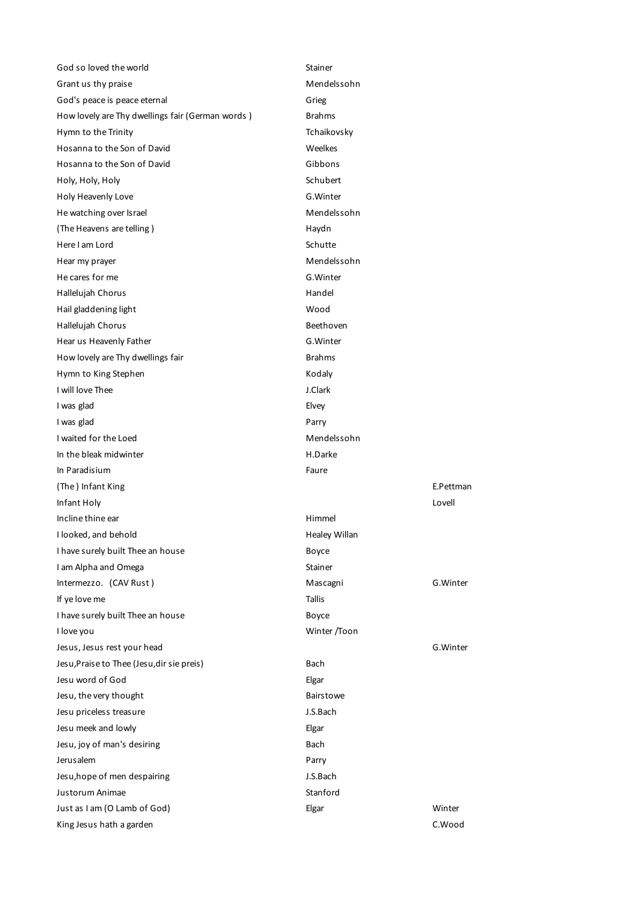| God so loved the world                                   | Stainer       |                  |
|----------------------------------------------------------|---------------|------------------|
| Grant us thy praise                                      | Mendelssohn   |                  |
| God's peace is peace eternal                             | Grieg         |                  |
| How lovely are Thy dwellings fair (German words)         | <b>Brahms</b> |                  |
| Hymn to the Trinity                                      | Tchaikovsky   |                  |
| Hosanna to the Son of David                              | Weelkes       |                  |
| Hosanna to the Son of David                              | Gibbons       |                  |
| Holy, Holy, Holy                                         | Schubert      |                  |
| Holy Heavenly Love                                       | G.Winter      |                  |
| He watching over Israel                                  | Mendelssohn   |                  |
| (The Heavens are telling)                                | Haydn         |                  |
| Here I am Lord                                           | Schutte       |                  |
| Hear my prayer                                           | Mendelssohn   |                  |
| He cares for me                                          | G.Winter      |                  |
| Hallelujah Chorus                                        | Handel        |                  |
| Hail gladdening light                                    | Wood          |                  |
| Hallelujah Chorus                                        | Beethoven     |                  |
| Hear us Heavenly Father                                  | G.Winter      |                  |
| How lovely are Thy dwellings fair                        | <b>Brahms</b> |                  |
| Hymn to King Stephen                                     | Kodaly        |                  |
| I will love Thee                                         | J.Clark       |                  |
| I was glad                                               | Elvey         |                  |
| I was glad                                               | Parry         |                  |
| I waited for the Loed                                    | Mendelssohn   |                  |
| In the bleak midwinter                                   | H.Darke       |                  |
|                                                          |               |                  |
| In Paradisium                                            | Faure         |                  |
| (The) Infant King                                        |               | E.Pettman        |
| Infant Holy                                              |               | Lovell           |
| Incline thine ear                                        | Himmel        |                  |
| I looked, and behold                                     | Healey Willan |                  |
| I have surely built Thee an house                        | Boyce         |                  |
| I am Alpha and Omega                                     | Stainer       |                  |
| Intermezzo. (CAV Rust)                                   | Mascagni      | G.Winter         |
| If ye love me                                            | Tallis        |                  |
| I have surely built Thee an house                        | Boyce         |                  |
| I love you                                               | Winter /Toon  |                  |
| Jesus, Jesus rest your head                              |               | G.Winter         |
| Jesu, Praise to Thee (Jesu, dir sie preis)               | Bach          |                  |
| Jesu word of God                                         | Elgar         |                  |
| Jesu, the very thought                                   | Bairstowe     |                  |
| Jesu priceless treasure                                  | J.S.Bach      |                  |
| Jesu meek and lowly                                      | Elgar         |                  |
| Jesu, joy of man's desiring                              | Bach          |                  |
| Jerusalem                                                | Parry         |                  |
| Jesu, hope of men despairing                             | J.S.Bach      |                  |
| Justorum Animae                                          | Stanford      |                  |
| Just as I am (O Lamb of God)<br>King Jesus hath a garden | Elgar         | Winter<br>C.Wood |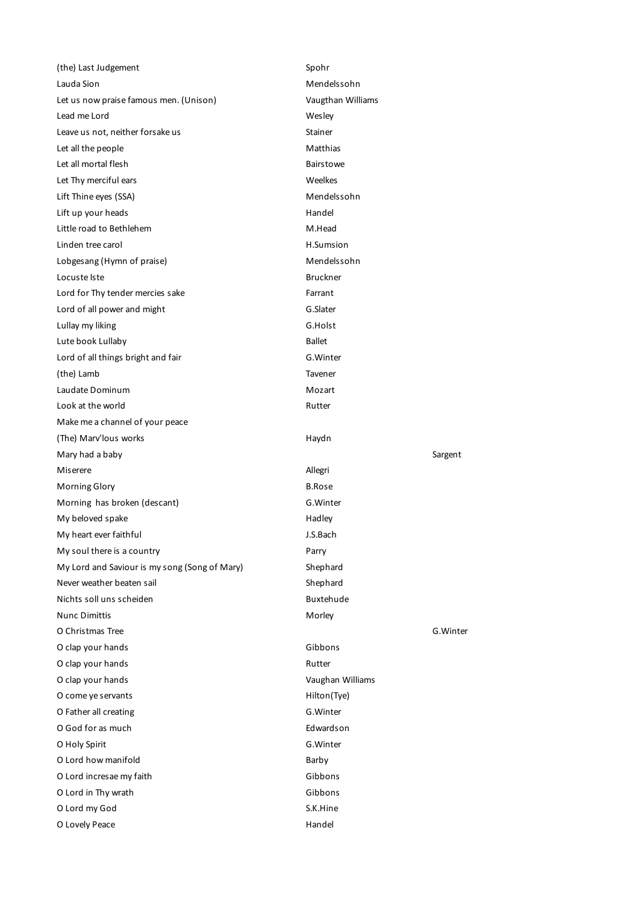| (the) Last Judgement                          | Spohr             |          |
|-----------------------------------------------|-------------------|----------|
| Lauda Sion                                    | Mendelssohn       |          |
| Let us now praise famous men. (Unison)        | Vaugthan Williams |          |
| Lead me Lord                                  | Wesley            |          |
| Leave us not, neither forsake us              | Stainer           |          |
| Let all the people                            | Matthias          |          |
| Let all mortal flesh                          | <b>Bairstowe</b>  |          |
| Let Thy merciful ears                         | Weelkes           |          |
| Lift Thine eyes (SSA)                         | Mendelssohn       |          |
| Lift up your heads                            | Handel            |          |
| Little road to Bethlehem                      | M.Head            |          |
| Linden tree carol                             | H.Sumsion         |          |
| Lobgesang (Hymn of praise)                    | Mendelssohn       |          |
| Locuste Iste                                  | <b>Bruckner</b>   |          |
| Lord for Thy tender mercies sake              | Farrant           |          |
| Lord of all power and might                   | G.Slater          |          |
| Lullay my liking                              | G.Holst           |          |
| Lute book Lullaby                             | <b>Ballet</b>     |          |
| Lord of all things bright and fair            | G.Winter          |          |
| (the) Lamb                                    | Tavener           |          |
| Laudate Dominum                               | Mozart            |          |
| Look at the world                             | Rutter            |          |
| Make me a channel of your peace               |                   |          |
| (The) Marv'lous works                         | Haydn             |          |
|                                               |                   |          |
| Mary had a baby                               |                   | Sargent  |
| Miserere                                      | Allegri           |          |
| <b>Morning Glory</b>                          | <b>B.Rose</b>     |          |
| Morning has broken (descant)                  | G.Winter          |          |
| My beloved spake                              | Hadley            |          |
| My heart ever faithful                        | J.S.Bach          |          |
| My soul there is a country                    | Parry             |          |
| My Lord and Saviour is my song (Song of Mary) | Shephard          |          |
| Never weather beaten sail                     | Shephard          |          |
| Nichts soll uns scheiden                      | Buxtehude         |          |
| <b>Nunc Dimittis</b>                          | Morley            |          |
| O Christmas Tree                              |                   | G.Winter |
| O clap your hands                             | Gibbons           |          |
| O clap your hands                             | Rutter            |          |
| O clap your hands                             | Vaughan Williams  |          |
| O come ye servants                            | Hilton(Tye)       |          |
| O Father all creating                         | G.Winter          |          |
| O God for as much                             | Edwardson         |          |
| O Holy Spirit                                 | G.Winter          |          |
| O Lord how manifold                           | Barby             |          |
| O Lord incresae my faith                      | Gibbons           |          |
| O Lord in Thy wrath                           | Gibbons           |          |
| O Lord my God                                 | S.K.Hine          |          |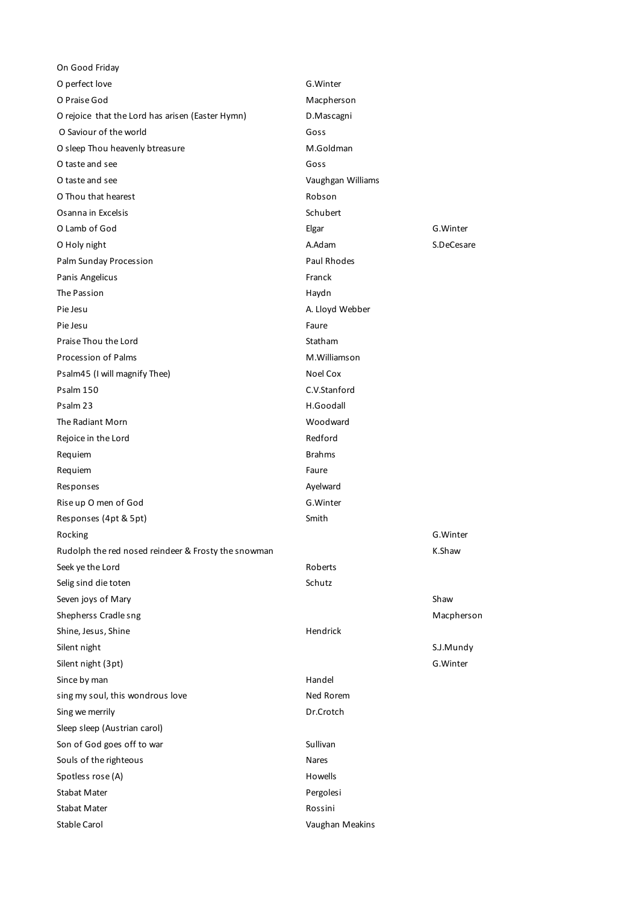| On Good Friday                                      |                   |            |
|-----------------------------------------------------|-------------------|------------|
| O perfect love                                      | G.Winter          |            |
| O Praise God                                        | Macpherson        |            |
| O rejoice that the Lord has arisen (Easter Hymn)    | D.Mascagni        |            |
| O Saviour of the world                              | Goss              |            |
| O sleep Thou heavenly btreasure                     | M.Goldman         |            |
| O taste and see                                     | Goss              |            |
| O taste and see                                     | Vaughgan Williams |            |
| O Thou that hearest                                 | Robson            |            |
| Osanna in Excelsis                                  | Schubert          |            |
| O Lamb of God                                       | Elgar             | G.Winter   |
| O Holy night                                        | A.Adam            | S.DeCesare |
| Palm Sunday Procession                              | Paul Rhodes       |            |
| Panis Angelicus                                     | Franck            |            |
| The Passion                                         | Haydn             |            |
| Pie Jesu                                            | A. Lloyd Webber   |            |
| Pie Jesu                                            | Faure             |            |
| Praise Thou the Lord                                | Statham           |            |
| <b>Procession of Palms</b>                          | M.Williamson      |            |
| Psalm45 (I will magnify Thee)                       | Noel Cox          |            |
| Psalm 150                                           | C.V.Stanford      |            |
| Psalm 23                                            | H.Goodall         |            |
| The Radiant Morn                                    | Woodward          |            |
| Rejoice in the Lord                                 | Redford           |            |
| Requiem                                             | <b>Brahms</b>     |            |
| Requiem                                             | Faure             |            |
| Responses                                           | Ayelward          |            |
| Rise up O men of God                                | G.Winter          |            |
| Responses (4pt & 5pt)                               | Smith             |            |
| Rocking                                             |                   | G.Winter   |
| Rudolph the red nosed reindeer & Frosty the snowman |                   | K.Shaw     |
| Seek ye the Lord                                    | Roberts           |            |
| Selig sind die toten                                | Schutz            |            |
| Seven joys of Mary                                  |                   | Shaw       |
| Shepherss Cradle sng                                |                   | Macpherson |
| Shine, Jesus, Shine                                 | Hendrick          |            |
| Silent night                                        |                   | S.J.Mundy  |
| Silent night (3pt)                                  |                   | G.Winter   |
| Since by man                                        | Handel            |            |
| sing my soul, this wondrous love                    | Ned Rorem         |            |
|                                                     |                   |            |
| Sing we merrily                                     | Dr.Crotch         |            |
| Sleep sleep (Austrian carol)                        |                   |            |
| Son of God goes off to war                          | Sullivan          |            |
| Souls of the righteous                              | Nares             |            |
| Spotless rose (A)                                   | Howells           |            |
| Stabat Mater                                        | Pergolesi         |            |
| Stabat Mater                                        | Rossini           |            |
| Stable Carol                                        | Vaughan Meakins   |            |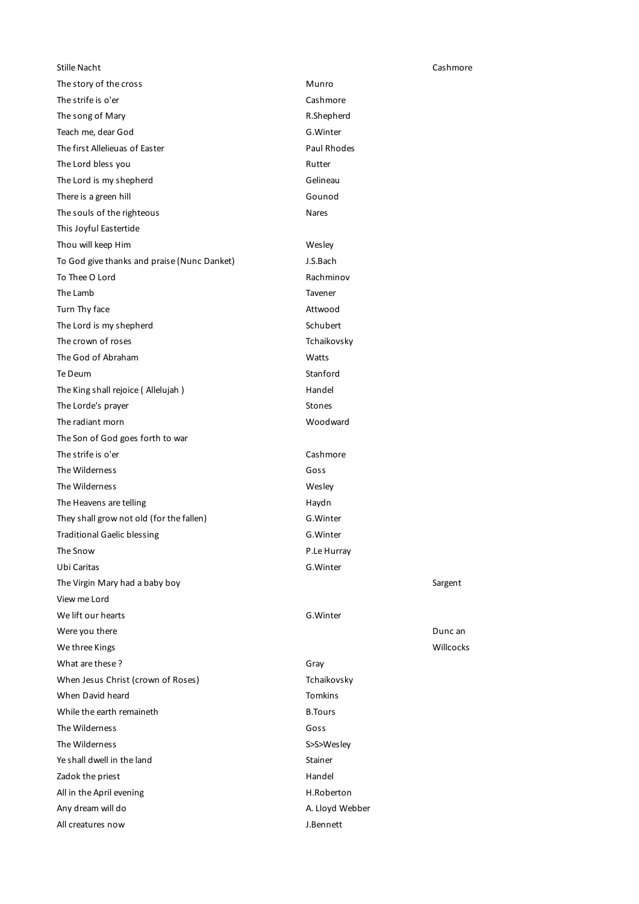| Stille Nacht                                |                 | Cashmore  |
|---------------------------------------------|-----------------|-----------|
| The story of the cross                      | Munro           |           |
| The strife is o'er                          | Cashmore        |           |
| The song of Mary                            | R.Shepherd      |           |
| Teach me, dear God                          | G.Winter        |           |
| The first Allelieuas of Easter              | Paul Rhodes     |           |
| The Lord bless you                          | Rutter          |           |
| The Lord is my shepherd                     | Gelineau        |           |
| There is a green hill                       | Gounod          |           |
| The souls of the righteous                  | Nares           |           |
| This Joyful Eastertide                      |                 |           |
| Thou will keep Him                          | Wesley          |           |
| To God give thanks and praise (Nunc Danket) | J.S.Bach        |           |
| To Thee O Lord                              | Rachminov       |           |
| The Lamb                                    | Tavener         |           |
| Turn Thy face                               | Attwood         |           |
| The Lord is my shepherd                     | Schubert        |           |
| The crown of roses                          | Tchaikovsky     |           |
| The God of Abraham                          | Watts           |           |
| Te Deum                                     | Stanford        |           |
| The King shall rejoice (Allelujah)          | Handel          |           |
| The Lorde's prayer                          | <b>Stones</b>   |           |
| The radiant morn                            | Woodward        |           |
| The Son of God goes forth to war            |                 |           |
| The strife is o'er                          | Cashmore        |           |
| The Wilderness                              | Goss            |           |
| The Wilderness                              | Wesley          |           |
| The Heavens are telling                     | Haydn           |           |
| They shall grow not old (for the fallen)    | G.Winter        |           |
| <b>Traditional Gaelic blessing</b>          | G.Winter        |           |
| The Snow                                    | P.Le Hurray     |           |
| Ubi Caritas                                 | G.Winter        |           |
| The Virgin Mary had a baby boy              |                 | Sargent   |
| View me Lord                                |                 |           |
| We lift our hearts                          | G.Winter        |           |
| Were you there                              |                 | Dunc an   |
| We three Kings                              |                 | Willcocks |
| What are these?                             | Gray            |           |
| When Jesus Christ (crown of Roses)          | Tchaikovsky     |           |
| When David heard                            | <b>Tomkins</b>  |           |
| While the earth remaineth                   | <b>B.Tours</b>  |           |
| The Wilderness                              | Goss            |           |
| The Wilderness                              | S>S>Wesley      |           |
| Ye shall dwell in the land                  | Stainer         |           |
| Zadok the priest                            | Handel          |           |
| All in the April evening                    | H.Roberton      |           |
| Any dream will do                           | A. Lloyd Webber |           |
| All creatures now                           | J.Bennett       |           |
|                                             |                 |           |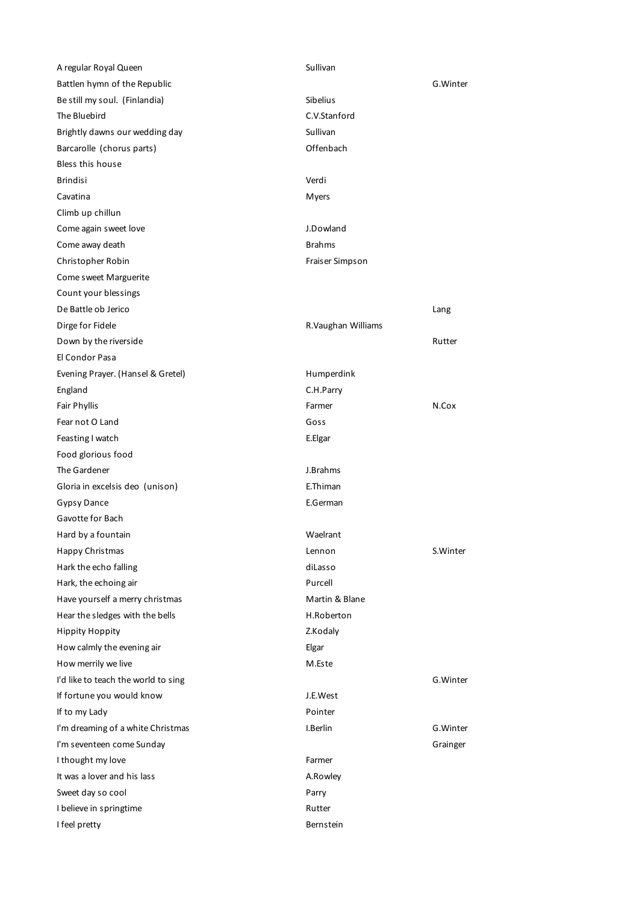| Sullivan           |          |
|--------------------|----------|
|                    | G.Winter |
| Sibelius           |          |
| C.V.Stanford       |          |
| Sullivan           |          |
| Offenbach          |          |
|                    |          |
| Verdi              |          |
| <b>Myers</b>       |          |
|                    |          |
| J.Dowland          |          |
| <b>Brahms</b>      |          |
| Fraiser Simpson    |          |
|                    |          |
|                    |          |
|                    | Lang     |
| R.Vaughan Williams |          |
|                    | Rutter   |
|                    |          |
| Humperdink         |          |
| C.H.Parry          |          |
| Farmer             | N.Cox    |
| Goss               |          |
| E.Elgar            |          |
|                    |          |
| J.Brahms           |          |
| E.Thiman           |          |
| E.German           |          |
|                    |          |
| Waelrant           |          |
| Lennon             | S.Winter |
| diLasso            |          |
| Purcell            |          |
| Martin & Blane     |          |
| H.Roberton         |          |
| Z.Kodaly           |          |
| Elgar              |          |
| M.Este             |          |
|                    | G.Winter |
| J.E.West           |          |
| Pointer            |          |
| I.Berlin           | G.Winter |
|                    | Grainger |
|                    |          |
|                    |          |
| A.Rowley           |          |
| Parry              |          |
| Rutter             |          |
|                    | Farmer   |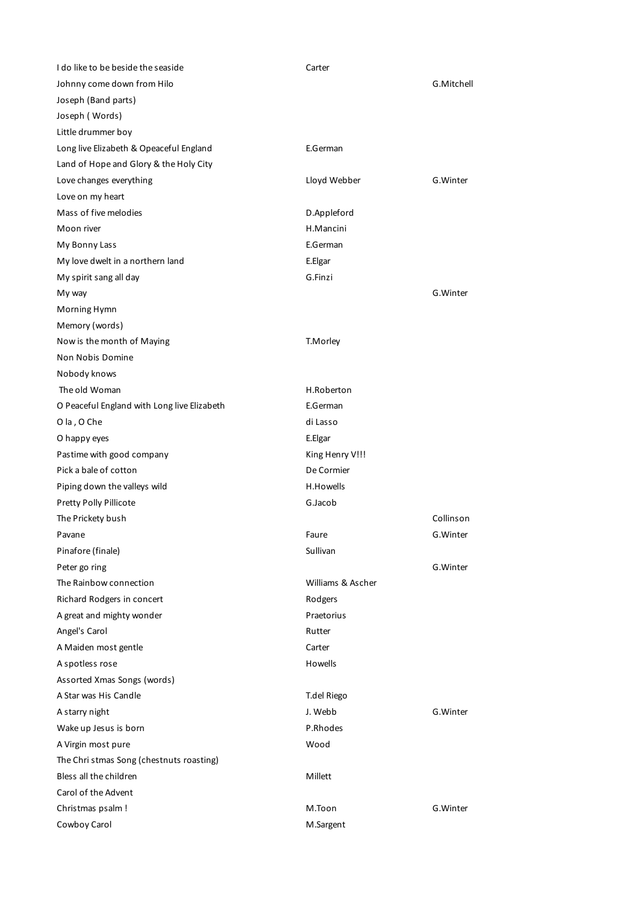| I do like to be beside the seaside          | Carter            |            |
|---------------------------------------------|-------------------|------------|
| Johnny come down from Hilo                  |                   | G.Mitchell |
| Joseph (Band parts)                         |                   |            |
| Joseph (Words)                              |                   |            |
| Little drummer boy                          |                   |            |
| Long live Elizabeth & Opeaceful England     | E.German          |            |
| Land of Hope and Glory & the Holy City      |                   |            |
| Love changes everything                     | Lloyd Webber      | G.Winter   |
| Love on my heart                            |                   |            |
| Mass of five melodies                       | D.Appleford       |            |
| Moon river                                  | H.Mancini         |            |
| My Bonny Lass                               | E.German          |            |
| My love dwelt in a northern land            | E.Elgar           |            |
| My spirit sang all day                      | G.Finzi           |            |
| My way                                      |                   | G.Winter   |
| Morning Hymn                                |                   |            |
| Memory (words)                              |                   |            |
| Now is the month of Maying                  | T.Morley          |            |
| Non Nobis Domine                            |                   |            |
| Nobody knows                                |                   |            |
| The old Woman                               | H.Roberton        |            |
| O Peaceful England with Long live Elizabeth | E.German          |            |
| O la, O Che                                 | di Lasso          |            |
| O happy eyes                                | E.Elgar           |            |
| Pastime with good company                   | King Henry V!!!   |            |
| Pick a bale of cotton                       | De Cormier        |            |
| Piping down the valleys wild                | H.Howells         |            |
| Pretty Polly Pillicote                      | G.Jacob           |            |
|                                             |                   | Collinson  |
| The Prickety bush                           |                   |            |
| Pavane                                      | Faure             | G.Winter   |
| Pinafore (finale)                           | Sullivan          |            |
| Peter go ring                               |                   | G.Winter   |
| The Rainbow connection                      | Williams & Ascher |            |
| Richard Rodgers in concert                  | Rodgers           |            |
| A great and mighty wonder                   | Praetorius        |            |
| Angel's Carol                               | Rutter            |            |
| A Maiden most gentle                        | Carter            |            |
| A spotless rose                             | Howells           |            |
| Assorted Xmas Songs (words)                 |                   |            |
| A Star was His Candle                       | T.del Riego       |            |
| A starry night                              | J. Webb           | G. Winter  |
| Wake up Jesus is born                       | P.Rhodes          |            |
| A Virgin most pure                          | Wood              |            |
| The Chri stmas Song (chestnuts roasting)    |                   |            |
| Bless all the children                      | Millett           |            |
| Carol of the Advent                         |                   |            |
| Christmas psalm!                            | M.Toon            | G.Winter   |
| Cowboy Carol                                | M.Sargent         |            |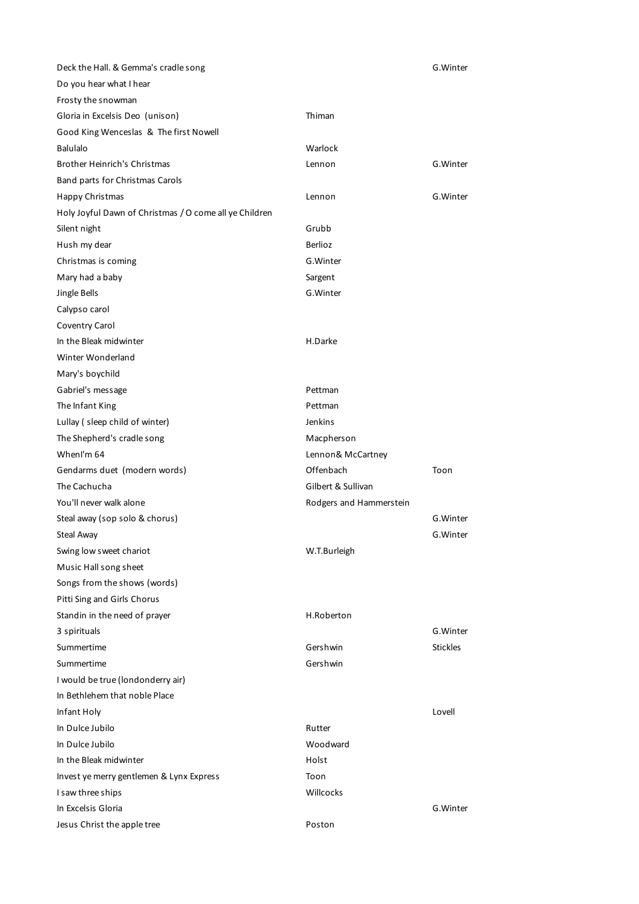| Deck the Hall. & Gemma's cradle song                   |                         | G.Winter        |
|--------------------------------------------------------|-------------------------|-----------------|
| Do you hear what I hear                                |                         |                 |
| Frosty the snowman                                     |                         |                 |
| Gloria in Excelsis Deo (unison)                        | Thiman                  |                 |
| Good King Wenceslas & The first Nowell                 |                         |                 |
| <b>Balulalo</b>                                        | Warlock                 |                 |
| Brother Heinrich's Christmas                           | Lennon                  | G.Winter        |
| Band parts for Christmas Carols                        |                         |                 |
| Happy Christmas                                        | Lennon                  | G.Winter        |
| Holy Joyful Dawn of Christmas / O come all ye Children |                         |                 |
| Silent night                                           | Grubb                   |                 |
| Hush my dear                                           | <b>Berlioz</b>          |                 |
| Christmas is coming                                    | G. Winter               |                 |
| Mary had a baby                                        | Sargent                 |                 |
| Jingle Bells                                           | G.Winter                |                 |
| Calypso carol                                          |                         |                 |
| Coventry Carol                                         |                         |                 |
| In the Bleak midwinter                                 | H.Darke                 |                 |
| Winter Wonderland                                      |                         |                 |
| Mary's boychild                                        |                         |                 |
| Gabriel's message                                      | Pettman                 |                 |
| The Infant King                                        | Pettman                 |                 |
| Lullay (sleep child of winter)                         | Jenkins                 |                 |
| The Shepherd's cradle song                             | Macpherson              |                 |
| WhenI'm 64                                             | Lennon& McCartney       |                 |
| Gendarms duet (modern words)                           | Offenbach               | Toon            |
| The Cachucha                                           | Gilbert & Sullivan      |                 |
| You'll never walk alone                                | Rodgers and Hammerstein |                 |
| Steal away (sop solo & chorus)                         |                         | G.Winter        |
| Steal Away                                             |                         | G.Winter        |
| Swing low sweet chariot                                | W.T.Burleigh            |                 |
| Music Hall song sheet                                  |                         |                 |
| Songs from the shows (words)                           |                         |                 |
| Pitti Sing and Girls Chorus                            |                         |                 |
| Standin in the need of prayer                          | H.Roberton              |                 |
| 3 spirituals                                           |                         | G.Winter        |
| Summertime                                             | Gershwin                | <b>Stickles</b> |
| Summertime                                             | Gershwin                |                 |
| I would be true (londonderry air)                      |                         |                 |
| In Bethlehem that noble Place                          |                         |                 |
| Infant Holy                                            |                         | Lovell          |
| In Dulce Jubilo                                        | Rutter                  |                 |
| In Dulce Jubilo                                        | Woodward                |                 |
| In the Bleak midwinter                                 | Holst                   |                 |
| Invest ye merry gentlemen & Lynx Express               | Toon                    |                 |
| I saw three ships                                      | Willcocks               |                 |
| In Excelsis Gloria                                     |                         | G.Winter        |
| Jesus Christ the apple tree                            | Poston                  |                 |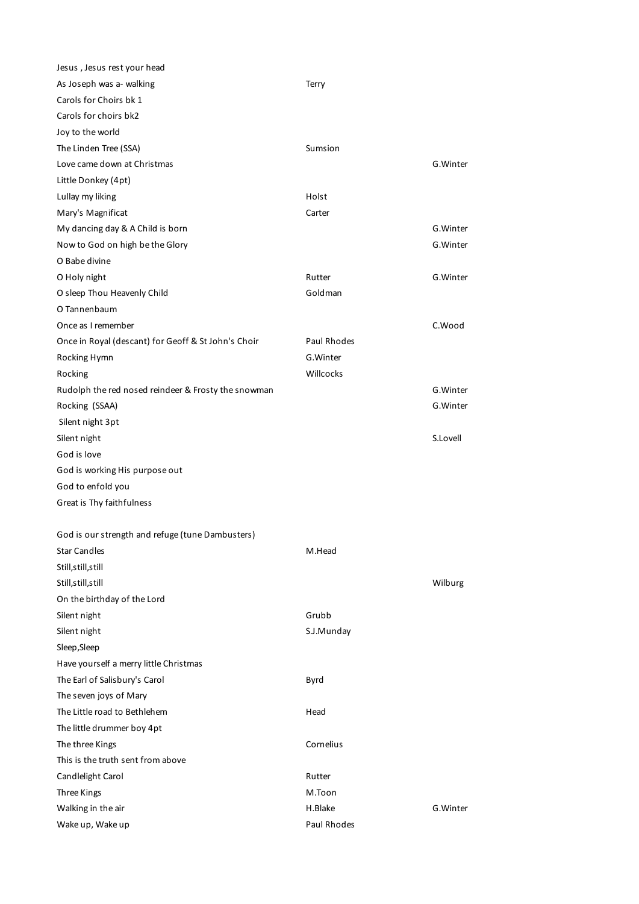| Jesus, Jesus rest your head                         |             |          |
|-----------------------------------------------------|-------------|----------|
| As Joseph was a- walking                            | Terry       |          |
| Carols for Choirs bk 1                              |             |          |
| Carols for choirs bk2                               |             |          |
| Joy to the world                                    |             |          |
| The Linden Tree (SSA)                               | Sumsion     |          |
| Love came down at Christmas                         |             | G.Winter |
| Little Donkey (4pt)                                 |             |          |
| Lullay my liking                                    | Holst       |          |
| Mary's Magnificat                                   | Carter      |          |
| My dancing day & A Child is born                    |             | G.Winter |
| Now to God on high be the Glory                     |             | G.Winter |
| O Babe divine                                       |             |          |
| O Holy night                                        | Rutter      | G.Winter |
| O sleep Thou Heavenly Child                         | Goldman     |          |
| O Tannenbaum                                        |             |          |
| Once as I remember                                  |             | C.Wood   |
| Once in Royal (descant) for Geoff & St John's Choir | Paul Rhodes |          |
| Rocking Hymn                                        | G. Winter   |          |
| Rocking                                             | Willcocks   |          |
| Rudolph the red nosed reindeer & Frosty the snowman |             | G.Winter |
| Rocking (SSAA)                                      |             | G.Winter |
| Silent night 3pt                                    |             |          |
| Silent night                                        |             | S.Lovell |
| God is love                                         |             |          |
| God is working His purpose out                      |             |          |
| God to enfold you                                   |             |          |
| Great is Thy faithfulness                           |             |          |
|                                                     |             |          |
| God is our strength and refuge (tune Dambusters)    |             |          |
| <b>Star Candles</b>                                 | M.Head      |          |
| Still, still, still                                 |             |          |
| Still, still, still                                 |             | Wilburg  |
| On the birthday of the Lord                         |             |          |
| Silent night                                        | Grubb       |          |
| Silent night                                        | S.J.Munday  |          |
| Sleep, Sleep                                        |             |          |
| Have yourself a merry little Christmas              |             |          |
| The Earl of Salisbury's Carol                       | Byrd        |          |
| The seven joys of Mary                              |             |          |
| The Little road to Bethlehem                        | Head        |          |
| The little drummer boy 4pt                          |             |          |
| The three Kings                                     | Cornelius   |          |
| This is the truth sent from above                   |             |          |
| Candlelight Carol                                   | Rutter      |          |
| Three Kings                                         | M.Toon      |          |
| Walking in the air                                  | H.Blake     | G.Winter |
| Wake up, Wake up                                    | Paul Rhodes |          |